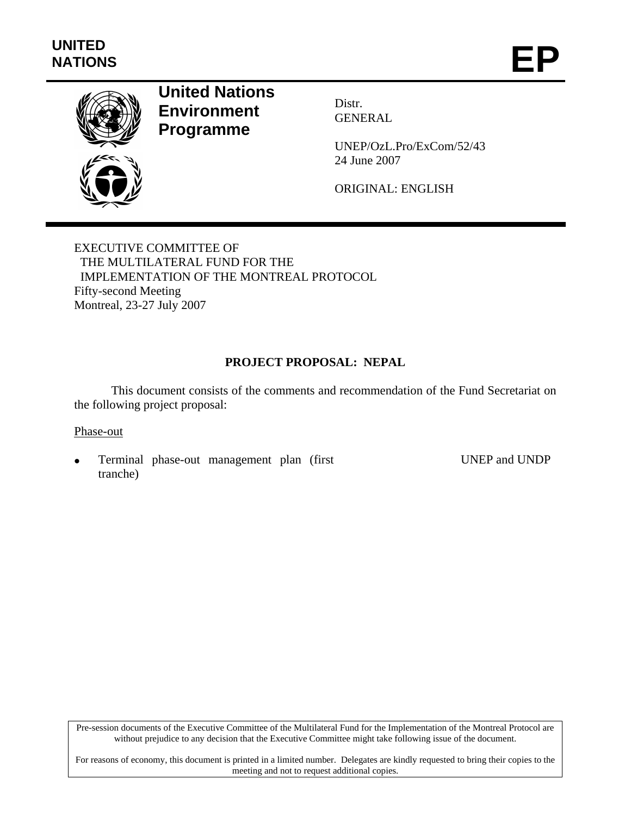

# **United Nations Environment Programme**

Distr. GENERAL

UNEP/OzL.Pro/ExCom/52/43 24 June 2007

ORIGINAL: ENGLISH

EXECUTIVE COMMITTEE OF THE MULTILATERAL FUND FOR THE IMPLEMENTATION OF THE MONTREAL PROTOCOL Fifty-second Meeting Montreal, 23-27 July 2007

# **PROJECT PROPOSAL: NEPAL**

This document consists of the comments and recommendation of the Fund Secretariat on the following project proposal:

#### Phase-out

• Terminal phase-out management plan (first tranche)

UNEP and UNDP

Pre-session documents of the Executive Committee of the Multilateral Fund for the Implementation of the Montreal Protocol are without prejudice to any decision that the Executive Committee might take following issue of the document.

For reasons of economy, this document is printed in a limited number. Delegates are kindly requested to bring their copies to the meeting and not to request additional copies.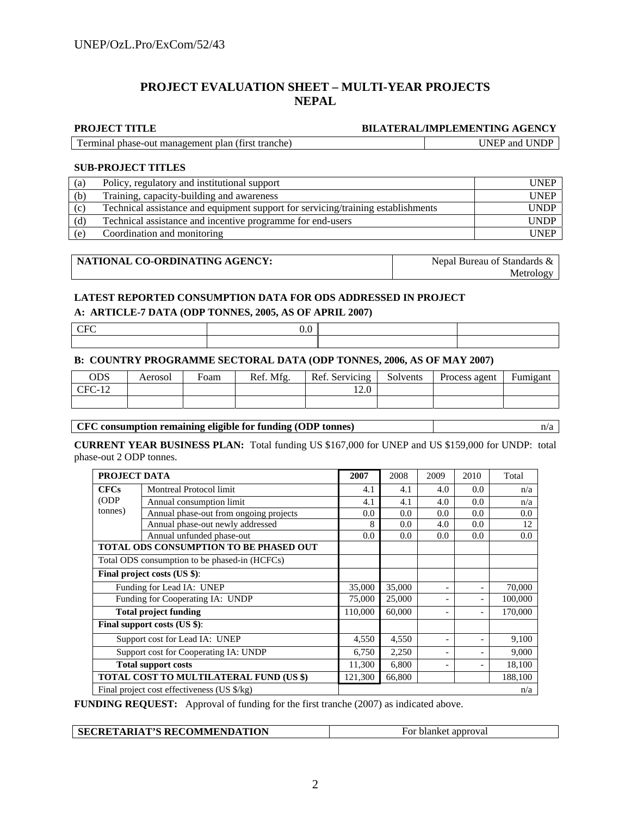# **PROJECT EVALUATION SHEET – MULTI-YEAR PROJECTS NEPAL**

#### **PROJECT TITLE BILATERAL/IMPLEMENTING AGENCY**

Terminal phase-out management plan (first tranche) UNEP and UNDP

#### **SUB-PROJECT TITLES**

| (a) | Policy, regulatory and institutional support                                     | <b>UNEP</b> |
|-----|----------------------------------------------------------------------------------|-------------|
| (b) | Training, capacity-building and awareness                                        | <b>UNEP</b> |
| (c) | Technical assistance and equipment support for servicing/training establishments | <b>UNDP</b> |
| (d) | Technical assistance and incentive programme for end-users                       | <b>UNDP</b> |
| (e) | Coordination and monitoring                                                      | UNEP        |

| NATIONAL CO-ORDINATING AGENCY: | Nepal Bureau of Standards & |
|--------------------------------|-----------------------------|
|                                | Metrology                   |

#### **LATEST REPORTED CONSUMPTION DATA FOR ODS ADDRESSED IN PROJECT**

#### **A: ARTICLE-7 DATA (ODP TONNES, 2005, AS OF APRIL 2007)**

| $\cdot$ |  |
|---------|--|
|         |  |

#### **B: COUNTRY PROGRAMME SECTORAL DATA (ODP TONNES, 2006, AS OF MAY 2007)**

| ODS      | Aerosol | Foam | Ref. Mfg. | Ref. Servicing | Solvents | Process agent | Fumigant |
|----------|---------|------|-----------|----------------|----------|---------------|----------|
| $CFC-12$ |         |      |           | 12.0           |          |               |          |
|          |         |      |           |                |          |               |          |

#### **CFC consumption remaining eligible for funding (ODP tonnes)** n/a

**CURRENT YEAR BUSINESS PLAN:** Total funding US \$167,000 for UNEP and US \$159,000 for UNDP: total phase-out 2 ODP tonnes.

|                                       | PROJECT DATA                                         |         |        | 2009                     | 2010  | Total   |
|---------------------------------------|------------------------------------------------------|---------|--------|--------------------------|-------|---------|
| <b>CFCs</b>                           | <b>Montreal Protocol limit</b>                       | 4.1     | 4.1    | 4.0                      | 0.0   | n/a     |
| (ODP)                                 | Annual consumption limit                             | 4.1     | 4.1    | 4.0                      | 0.0   | n/a     |
| tonnes)                               | Annual phase-out from ongoing projects               | 0.0     | 0.0    | 0.0                      | 0.0   | 0.0     |
|                                       | Annual phase-out newly addressed                     | 8       | 0.0    | 4.0                      | 0.0   | 12      |
|                                       | Annual unfunded phase-out                            | 0.0     | 0.0    | 0.0                      | 0.0   | 0.0     |
|                                       | TOTAL ODS CONSUMPTION TO BE PHASED OUT               |         |        |                          |       |         |
|                                       | Total ODS consumption to be phased-in (HCFCs)        |         |        |                          |       |         |
| Final project costs (US \$):          |                                                      |         |        |                          |       |         |
|                                       | Funding for Lead IA: UNEP                            |         |        | -                        |       | 70,000  |
|                                       | Funding for Cooperating IA: UNDP                     |         | 25,000 | ۰                        |       | 100,000 |
|                                       | <b>Total project funding</b>                         | 110,000 | 60,000 |                          |       | 170,000 |
|                                       | Final support costs (US \$):                         |         |        |                          |       |         |
|                                       | Support cost for Lead IA: UNEP                       |         |        | $\overline{\phantom{a}}$ |       | 9,100   |
| Support cost for Cooperating IA: UNDP | 6,750                                                | 2,250   | ۰      |                          | 9,000 |         |
|                                       | <b>Total support costs</b>                           |         | 6,800  | $\overline{\phantom{a}}$ |       | 18,100  |
|                                       | TOTAL COST TO MULTILATERAL FUND (US \$)              | 121,300 | 66,800 |                          |       | 188,100 |
|                                       | Final project cost effectiveness (US $\frac{6}{x}$ ) |         |        |                          |       | n/a     |

**FUNDING REQUEST:** Approval of funding for the first tranche (2007) as indicated above.

| <b>SECRETARIAT'S RECOMMENDATION</b> | <sup>t</sup> approval<br>blanket<br>$\overline{10}$ |
|-------------------------------------|-----------------------------------------------------|
|-------------------------------------|-----------------------------------------------------|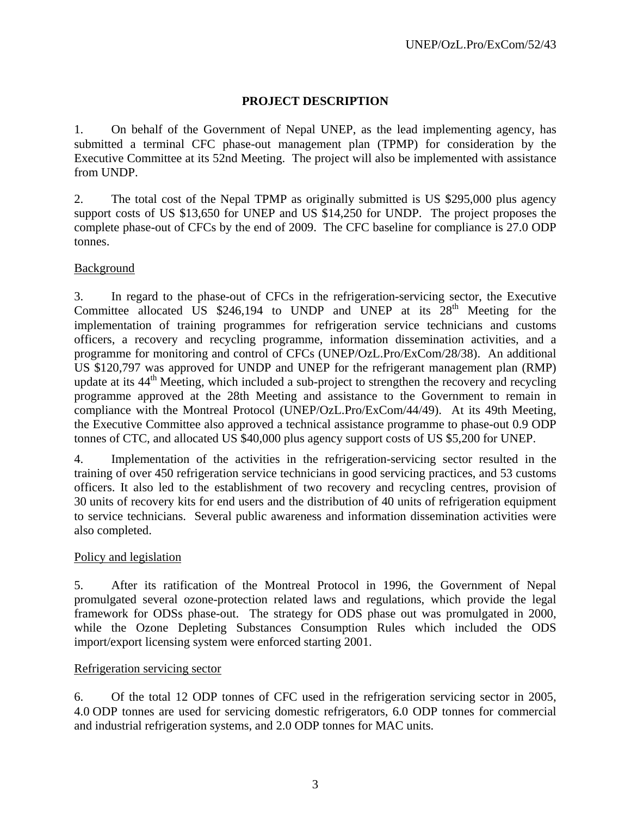# **PROJECT DESCRIPTION**

1. On behalf of the Government of Nepal UNEP, as the lead implementing agency, has submitted a terminal CFC phase-out management plan (TPMP) for consideration by the Executive Committee at its 52nd Meeting. The project will also be implemented with assistance from UNDP.

2. The total cost of the Nepal TPMP as originally submitted is US \$295,000 plus agency support costs of US \$13,650 for UNEP and US \$14,250 for UNDP. The project proposes the complete phase-out of CFCs by the end of 2009. The CFC baseline for compliance is 27.0 ODP tonnes.

# Background

3. In regard to the phase-out of CFCs in the refrigeration-servicing sector, the Executive Committee allocated US  $$246,194$  to UNDP and UNEP at its  $28<sup>th</sup>$  Meeting for the implementation of training programmes for refrigeration service technicians and customs officers, a recovery and recycling programme, information dissemination activities, and a programme for monitoring and control of CFCs (UNEP/OzL.Pro/ExCom/28/38). An additional US \$120,797 was approved for UNDP and UNEP for the refrigerant management plan (RMP) update at its 44<sup>th</sup> Meeting, which included a sub-project to strengthen the recovery and recycling programme approved at the 28th Meeting and assistance to the Government to remain in compliance with the Montreal Protocol (UNEP/OzL.Pro/ExCom/44/49). At its 49th Meeting, the Executive Committee also approved a technical assistance programme to phase-out 0.9 ODP tonnes of CTC, and allocated US \$40,000 plus agency support costs of US \$5,200 for UNEP.

4. Implementation of the activities in the refrigeration-servicing sector resulted in the training of over 450 refrigeration service technicians in good servicing practices, and 53 customs officers. It also led to the establishment of two recovery and recycling centres, provision of 30 units of recovery kits for end users and the distribution of 40 units of refrigeration equipment to service technicians. Several public awareness and information dissemination activities were also completed.

# Policy and legislation

5. After its ratification of the Montreal Protocol in 1996, the Government of Nepal promulgated several ozone-protection related laws and regulations, which provide the legal framework for ODSs phase-out. The strategy for ODS phase out was promulgated in 2000, while the Ozone Depleting Substances Consumption Rules which included the ODS import/export licensing system were enforced starting 2001.

# Refrigeration servicing sector

6. Of the total 12 ODP tonnes of CFC used in the refrigeration servicing sector in 2005, 4.0 ODP tonnes are used for servicing domestic refrigerators, 6.0 ODP tonnes for commercial and industrial refrigeration systems, and 2.0 ODP tonnes for MAC units.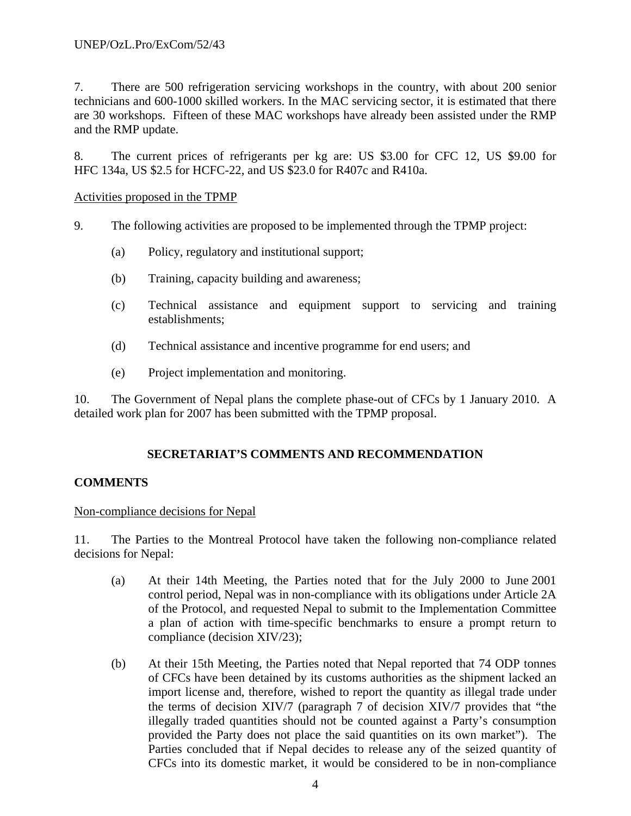7. There are 500 refrigeration servicing workshops in the country, with about 200 senior technicians and 600-1000 skilled workers. In the MAC servicing sector, it is estimated that there are 30 workshops. Fifteen of these MAC workshops have already been assisted under the RMP and the RMP update.

8. The current prices of refrigerants per kg are: US \$3.00 for CFC 12, US \$9.00 for HFC 134a, US \$2.5 for HCFC-22, and US \$23.0 for R407c and R410a.

Activities proposed in the TPMP

- 9. The following activities are proposed to be implemented through the TPMP project:
	- (a) Policy, regulatory and institutional support;
	- (b) Training, capacity building and awareness;
	- (c) Technical assistance and equipment support to servicing and training establishments;
	- (d) Technical assistance and incentive programme for end users; and
	- (e) Project implementation and monitoring.

10. The Government of Nepal plans the complete phase-out of CFCs by 1 January 2010. A detailed work plan for 2007 has been submitted with the TPMP proposal.

# **SECRETARIAT'S COMMENTS AND RECOMMENDATION**

# **COMMENTS**

# Non-compliance decisions for Nepal

11. The Parties to the Montreal Protocol have taken the following non-compliance related decisions for Nepal:

- (a) At their 14th Meeting, the Parties noted that for the July 2000 to June 2001 control period, Nepal was in non-compliance with its obligations under Article 2A of the Protocol, and requested Nepal to submit to the Implementation Committee a plan of action with time-specific benchmarks to ensure a prompt return to compliance (decision XIV/23);
- (b) At their 15th Meeting, the Parties noted that Nepal reported that 74 ODP tonnes of CFCs have been detained by its customs authorities as the shipment lacked an import license and, therefore, wished to report the quantity as illegal trade under the terms of decision XIV/7 (paragraph 7 of decision XIV/7 provides that "the illegally traded quantities should not be counted against a Party's consumption provided the Party does not place the said quantities on its own market"). The Parties concluded that if Nepal decides to release any of the seized quantity of CFCs into its domestic market, it would be considered to be in non-compliance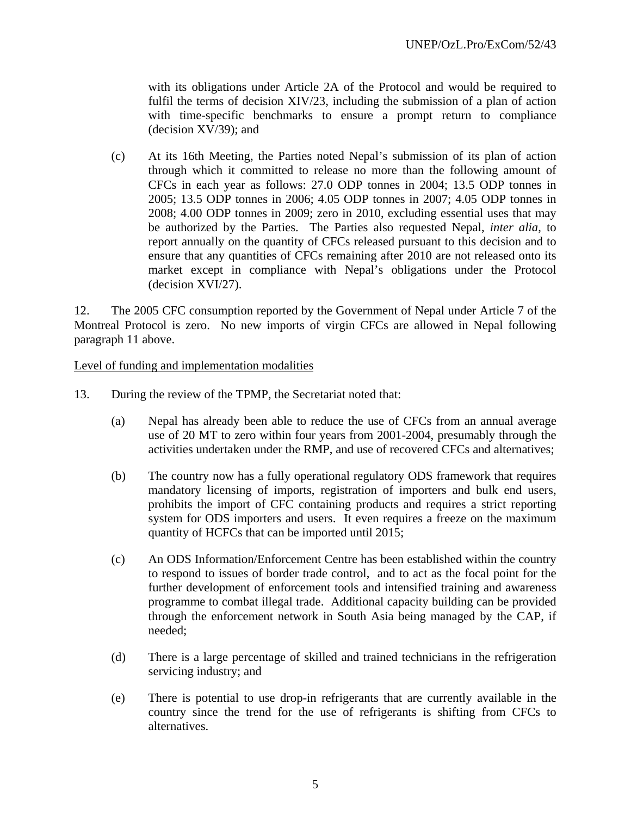with its obligations under Article 2A of the Protocol and would be required to fulfil the terms of decision XIV/23, including the submission of a plan of action with time-specific benchmarks to ensure a prompt return to compliance (decision XV/39); and

(c) At its 16th Meeting, the Parties noted Nepal's submission of its plan of action through which it committed to release no more than the following amount of CFCs in each year as follows: 27.0 ODP tonnes in 2004; 13.5 ODP tonnes in 2005; 13.5 ODP tonnes in 2006; 4.05 ODP tonnes in 2007; 4.05 ODP tonnes in 2008; 4.00 ODP tonnes in 2009; zero in 2010, excluding essential uses that may be authorized by the Parties. The Parties also requested Nepal, *inter alia*, to report annually on the quantity of CFCs released pursuant to this decision and to ensure that any quantities of CFCs remaining after 2010 are not released onto its market except in compliance with Nepal's obligations under the Protocol (decision XVI/27).

12. The 2005 CFC consumption reported by the Government of Nepal under Article 7 of the Montreal Protocol is zero. No new imports of virgin CFCs are allowed in Nepal following paragraph 11 above.

Level of funding and implementation modalities

- 13. During the review of the TPMP, the Secretariat noted that:
	- (a) Nepal has already been able to reduce the use of CFCs from an annual average use of 20 MT to zero within four years from 2001-2004, presumably through the activities undertaken under the RMP, and use of recovered CFCs and alternatives;
	- (b) The country now has a fully operational regulatory ODS framework that requires mandatory licensing of imports, registration of importers and bulk end users, prohibits the import of CFC containing products and requires a strict reporting system for ODS importers and users. It even requires a freeze on the maximum quantity of HCFCs that can be imported until 2015;
	- (c) An ODS Information/Enforcement Centre has been established within the country to respond to issues of border trade control, and to act as the focal point for the further development of enforcement tools and intensified training and awareness programme to combat illegal trade. Additional capacity building can be provided through the enforcement network in South Asia being managed by the CAP, if needed;
	- (d) There is a large percentage of skilled and trained technicians in the refrigeration servicing industry; and
	- (e) There is potential to use drop-in refrigerants that are currently available in the country since the trend for the use of refrigerants is shifting from CFCs to alternatives.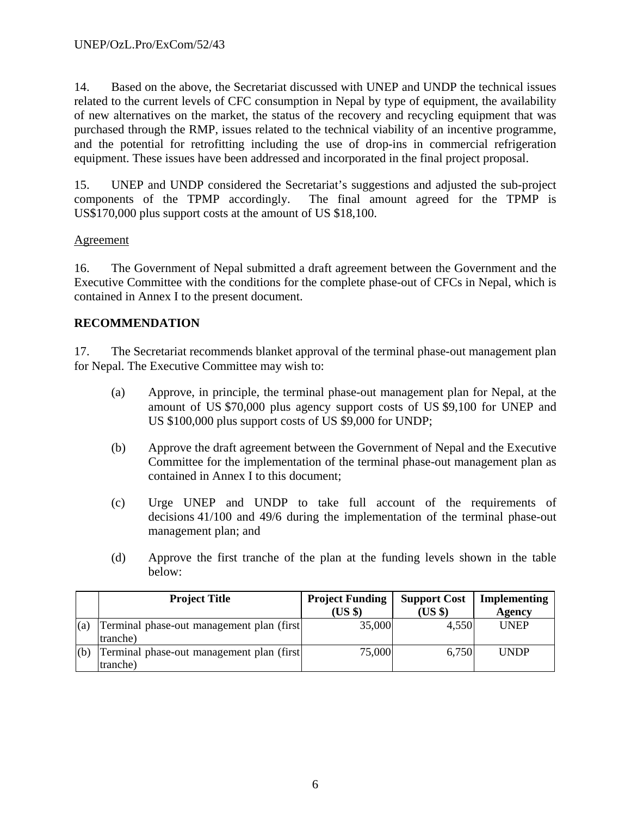14. Based on the above, the Secretariat discussed with UNEP and UNDP the technical issues related to the current levels of CFC consumption in Nepal by type of equipment, the availability of new alternatives on the market, the status of the recovery and recycling equipment that was purchased through the RMP, issues related to the technical viability of an incentive programme, and the potential for retrofitting including the use of drop-ins in commercial refrigeration equipment. These issues have been addressed and incorporated in the final project proposal.

15. UNEP and UNDP considered the Secretariat's suggestions and adjusted the sub-project components of the TPMP accordingly. The final amount agreed for the TPMP is US\$170,000 plus support costs at the amount of US \$18,100.

# **Agreement**

16. The Government of Nepal submitted a draft agreement between the Government and the Executive Committee with the conditions for the complete phase-out of CFCs in Nepal, which is contained in Annex I to the present document.

# **RECOMMENDATION**

17. The Secretariat recommends blanket approval of the terminal phase-out management plan for Nepal. The Executive Committee may wish to:

- (a) Approve, in principle, the terminal phase-out management plan for Nepal, at the amount of US \$70,000 plus agency support costs of US \$9,100 for UNEP and US \$100,000 plus support costs of US \$9,000 for UNDP;
- (b) Approve the draft agreement between the Government of Nepal and the Executive Committee for the implementation of the terminal phase-out management plan as contained in Annex I to this document;
- (c) Urge UNEP and UNDP to take full account of the requirements of decisions 41/100 and 49/6 during the implementation of the terminal phase-out management plan; and
- (d) Approve the first tranche of the plan at the funding levels shown in the table below:

|     | <b>Project Title</b>                                   | <b>Project Funding</b><br>$(US \$ | <b>Support Cost</b><br>$(US \$ | Implementing<br><b>Agency</b> |
|-----|--------------------------------------------------------|-----------------------------------|--------------------------------|-------------------------------|
| (a) | Terminal phase-out management plan (first)<br>(tranche | 35,000                            | 4,550                          | <b>UNEP</b>                   |
| (b) | Terminal phase-out management plan (first)<br>tranche) | 75,000                            | 6,750                          | <b>UNDP</b>                   |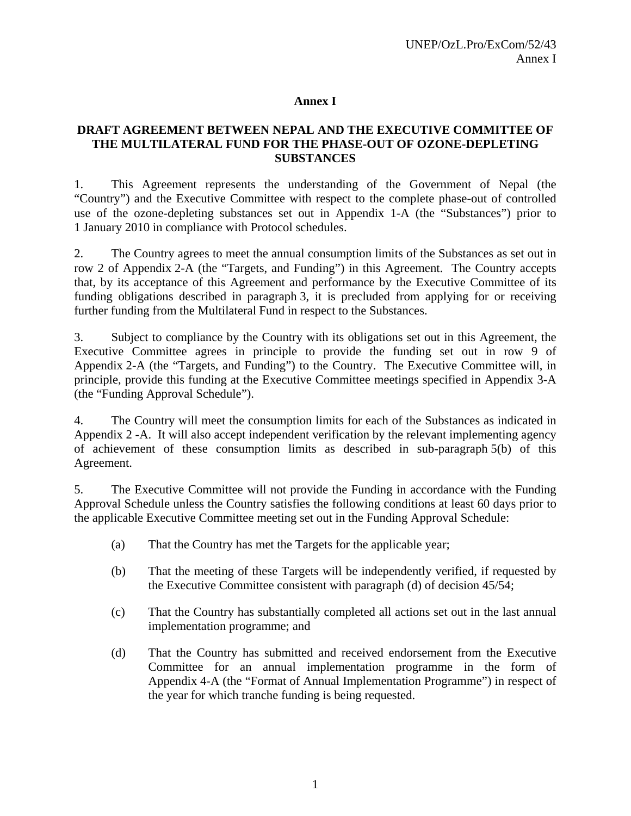# **Annex I**

# **DRAFT AGREEMENT BETWEEN NEPAL AND THE EXECUTIVE COMMITTEE OF THE MULTILATERAL FUND FOR THE PHASE-OUT OF OZONE-DEPLETING SUBSTANCES**

1. This Agreement represents the understanding of the Government of Nepal (the "Country") and the Executive Committee with respect to the complete phase-out of controlled use of the ozone-depleting substances set out in Appendix 1-A (the "Substances") prior to 1 January 2010 in compliance with Protocol schedules.

2. The Country agrees to meet the annual consumption limits of the Substances as set out in row 2 of Appendix 2-A (the "Targets, and Funding") in this Agreement. The Country accepts that, by its acceptance of this Agreement and performance by the Executive Committee of its funding obligations described in paragraph 3, it is precluded from applying for or receiving further funding from the Multilateral Fund in respect to the Substances.

3. Subject to compliance by the Country with its obligations set out in this Agreement, the Executive Committee agrees in principle to provide the funding set out in row 9 of Appendix 2-A (the "Targets, and Funding") to the Country. The Executive Committee will, in principle, provide this funding at the Executive Committee meetings specified in Appendix 3-A (the "Funding Approval Schedule").

4. The Country will meet the consumption limits for each of the Substances as indicated in Appendix 2 -A. It will also accept independent verification by the relevant implementing agency of achievement of these consumption limits as described in sub-paragraph 5(b) of this Agreement.

5. The Executive Committee will not provide the Funding in accordance with the Funding Approval Schedule unless the Country satisfies the following conditions at least 60 days prior to the applicable Executive Committee meeting set out in the Funding Approval Schedule:

- (a) That the Country has met the Targets for the applicable year;
- (b) That the meeting of these Targets will be independently verified, if requested by the Executive Committee consistent with paragraph (d) of decision 45/54;
- (c) That the Country has substantially completed all actions set out in the last annual implementation programme; and
- (d) That the Country has submitted and received endorsement from the Executive Committee for an annual implementation programme in the form of Appendix 4-A (the "Format of Annual Implementation Programme") in respect of the year for which tranche funding is being requested.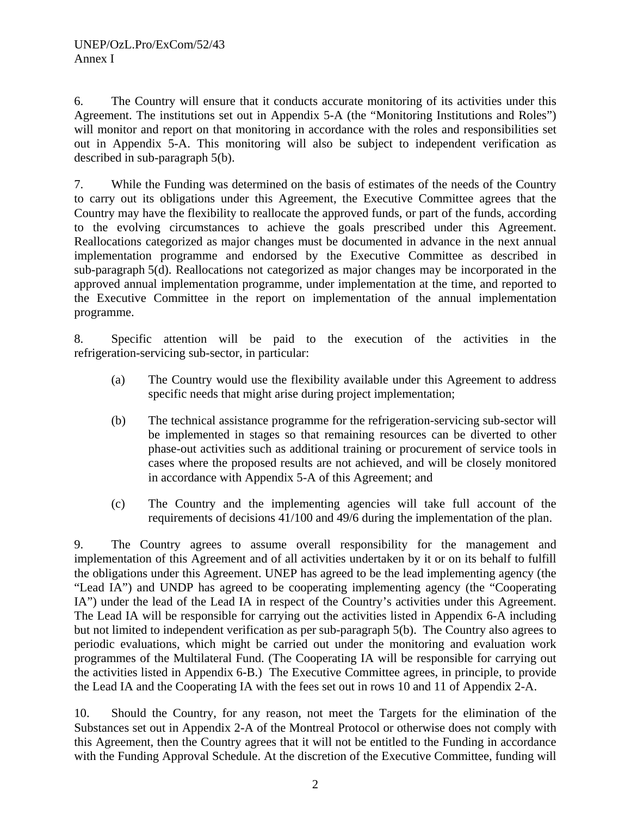6. The Country will ensure that it conducts accurate monitoring of its activities under this Agreement. The institutions set out in Appendix 5-A (the "Monitoring Institutions and Roles") will monitor and report on that monitoring in accordance with the roles and responsibilities set out in Appendix 5-A. This monitoring will also be subject to independent verification as described in sub-paragraph 5(b).

7. While the Funding was determined on the basis of estimates of the needs of the Country to carry out its obligations under this Agreement, the Executive Committee agrees that the Country may have the flexibility to reallocate the approved funds, or part of the funds, according to the evolving circumstances to achieve the goals prescribed under this Agreement. Reallocations categorized as major changes must be documented in advance in the next annual implementation programme and endorsed by the Executive Committee as described in sub-paragraph 5(d). Reallocations not categorized as major changes may be incorporated in the approved annual implementation programme, under implementation at the time, and reported to the Executive Committee in the report on implementation of the annual implementation programme.

8. Specific attention will be paid to the execution of the activities in the refrigeration-servicing sub-sector, in particular:

- (a) The Country would use the flexibility available under this Agreement to address specific needs that might arise during project implementation;
- (b) The technical assistance programme for the refrigeration-servicing sub-sector will be implemented in stages so that remaining resources can be diverted to other phase-out activities such as additional training or procurement of service tools in cases where the proposed results are not achieved, and will be closely monitored in accordance with Appendix 5-A of this Agreement; and
- (c) The Country and the implementing agencies will take full account of the requirements of decisions 41/100 and 49/6 during the implementation of the plan.

9. The Country agrees to assume overall responsibility for the management and implementation of this Agreement and of all activities undertaken by it or on its behalf to fulfill the obligations under this Agreement. UNEP has agreed to be the lead implementing agency (the "Lead IA") and UNDP has agreed to be cooperating implementing agency (the "Cooperating IA") under the lead of the Lead IA in respect of the Country's activities under this Agreement. The Lead IA will be responsible for carrying out the activities listed in Appendix 6-A including but not limited to independent verification as per sub-paragraph 5(b). The Country also agrees to periodic evaluations, which might be carried out under the monitoring and evaluation work programmes of the Multilateral Fund. (The Cooperating IA will be responsible for carrying out the activities listed in Appendix 6-B.) The Executive Committee agrees, in principle, to provide the Lead IA and the Cooperating IA with the fees set out in rows 10 and 11 of Appendix 2-A.

10. Should the Country, for any reason, not meet the Targets for the elimination of the Substances set out in Appendix 2-A of the Montreal Protocol or otherwise does not comply with this Agreement, then the Country agrees that it will not be entitled to the Funding in accordance with the Funding Approval Schedule. At the discretion of the Executive Committee, funding will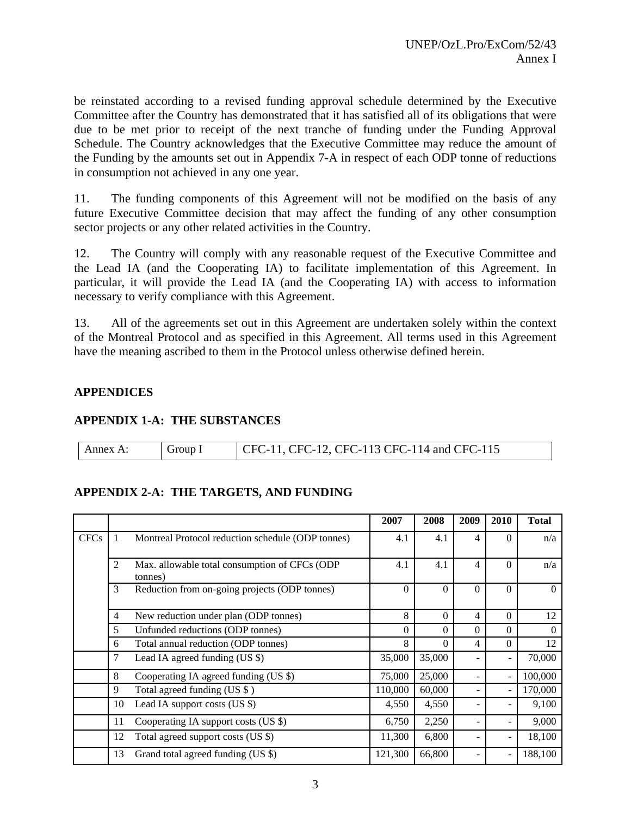be reinstated according to a revised funding approval schedule determined by the Executive Committee after the Country has demonstrated that it has satisfied all of its obligations that were due to be met prior to receipt of the next tranche of funding under the Funding Approval Schedule. The Country acknowledges that the Executive Committee may reduce the amount of the Funding by the amounts set out in Appendix 7-A in respect of each ODP tonne of reductions in consumption not achieved in any one year.

11. The funding components of this Agreement will not be modified on the basis of any future Executive Committee decision that may affect the funding of any other consumption sector projects or any other related activities in the Country.

12. The Country will comply with any reasonable request of the Executive Committee and the Lead IA (and the Cooperating IA) to facilitate implementation of this Agreement. In particular, it will provide the Lead IA (and the Cooperating IA) with access to information necessary to verify compliance with this Agreement.

13. All of the agreements set out in this Agreement are undertaken solely within the context of the Montreal Protocol and as specified in this Agreement. All terms used in this Agreement have the meaning ascribed to them in the Protocol unless otherwise defined herein.

# **APPENDICES**

# **APPENDIX 1-A: THE SUBSTANCES**

| Annex A: | Group I | $\vert$ CFC-11, CFC-12, CFC-113 CFC-114 and CFC-115 |
|----------|---------|-----------------------------------------------------|

# **APPENDIX 2-A: THE TARGETS, AND FUNDING**

|             |                                                    |                                                   | 2007     | 2008     | 2009     | 2010                     | <b>Total</b> |
|-------------|----------------------------------------------------|---------------------------------------------------|----------|----------|----------|--------------------------|--------------|
| <b>CFCs</b> | -1                                                 | Montreal Protocol reduction schedule (ODP tonnes) | 4.1      | 4.1      | 4        | $\Omega$                 | n/a          |
|             |                                                    |                                                   |          |          |          |                          |              |
|             | 2<br>Max. allowable total consumption of CFCs (ODP |                                                   | 4.1      | 4.1      | 4        | $\Omega$                 | n/a          |
|             |                                                    | tonnes)                                           |          |          |          |                          |              |
|             | 3                                                  | Reduction from on-going projects (ODP tonnes)     | $\Omega$ | $\Omega$ | $\Omega$ | $\theta$                 | $\Omega$     |
|             |                                                    |                                                   |          |          |          |                          |              |
|             | $\overline{4}$                                     | New reduction under plan (ODP tonnes)             | 8        | $\Omega$ | 4        | $\Omega$                 | 12           |
|             | 5                                                  | Unfunded reductions (ODP tonnes)                  | $\Omega$ | $\Omega$ | $\Omega$ | $\Omega$                 | $\Omega$     |
|             | 6                                                  | Total annual reduction (ODP tonnes)               |          | $\Omega$ | 4        | $\theta$                 | 12           |
|             | 7                                                  | Lead IA agreed funding $(US \$ )                  | 35,000   | 35,000   |          | $\overline{\phantom{a}}$ | 70,000       |
|             | 8                                                  | Cooperating IA agreed funding (US \$)             | 75,000   | 25,000   |          | $\blacksquare$           | 100,000      |
|             | 9                                                  | Total agreed funding (US \$)                      | 110,000  | 60,000   |          |                          | 170,000      |
|             | 10                                                 | Lead IA support costs (US \$)                     | 4,550    | 4,550    |          |                          | 9,100        |
|             | 11                                                 | Cooperating IA support costs (US \$)              | 6,750    | 2,250    |          |                          | 9,000        |
|             | 12                                                 | Total agreed support costs (US \$)                | 11,300   | 6,800    |          |                          | 18,100       |
|             | Grand total agreed funding (US \$)<br>13           |                                                   | 121,300  | 66,800   |          |                          | 188,100      |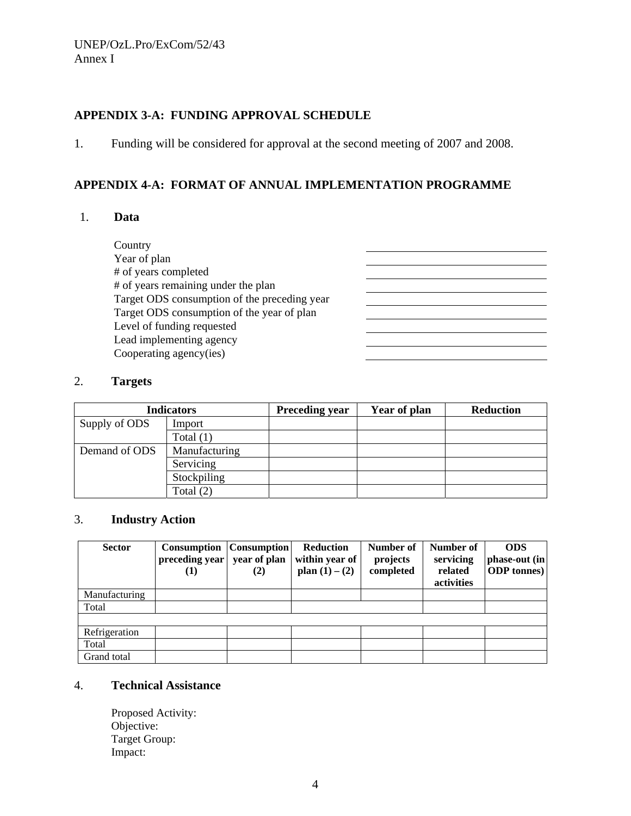# **APPENDIX 3-A: FUNDING APPROVAL SCHEDULE**

1. Funding will be considered for approval at the second meeting of 2007 and 2008.

# **APPENDIX 4-A: FORMAT OF ANNUAL IMPLEMENTATION PROGRAMME**

<u> 1989 - Johann Barbara, martxa alemani</u>ar a <u> 1980 - Johann Barbara, martin a</u>

#### 1. **Data**

**Country**  Year of plan # of years completed # of years remaining under the plan Target ODS consumption of the preceding year Target ODS consumption of the year of plan Level of funding requested Lead implementing agency Cooperating agency(ies)

## 2. **Targets**

| <b>Indicators</b> |               | <b>Preceding year</b> | Year of plan | <b>Reduction</b> |
|-------------------|---------------|-----------------------|--------------|------------------|
| Supply of ODS     | Import        |                       |              |                  |
|                   | Total $(1)$   |                       |              |                  |
| Demand of ODS     | Manufacturing |                       |              |                  |
|                   | Servicing     |                       |              |                  |
|                   | Stockpiling   |                       |              |                  |
|                   | Total $(2)$   |                       |              |                  |

## 3. **Industry Action**

| <b>Sector</b> | <b>Consumption</b><br>preceding year<br>(1) | <b>Consumption</b><br>year of plan<br>(2) | Reduction<br>within year of<br>plan $(1) - (2)$ | Number of<br>projects<br>completed | Number of<br>servicing<br>related<br>activities | <b>ODS</b><br>phase-out (in<br><b>ODP</b> tonnes) |
|---------------|---------------------------------------------|-------------------------------------------|-------------------------------------------------|------------------------------------|-------------------------------------------------|---------------------------------------------------|
| Manufacturing |                                             |                                           |                                                 |                                    |                                                 |                                                   |
| Total         |                                             |                                           |                                                 |                                    |                                                 |                                                   |
|               |                                             |                                           |                                                 |                                    |                                                 |                                                   |
| Refrigeration |                                             |                                           |                                                 |                                    |                                                 |                                                   |
| Total         |                                             |                                           |                                                 |                                    |                                                 |                                                   |
| Grand total   |                                             |                                           |                                                 |                                    |                                                 |                                                   |

# 4. **Technical Assistance**

Proposed Activity: Objective: Target Group: Impact: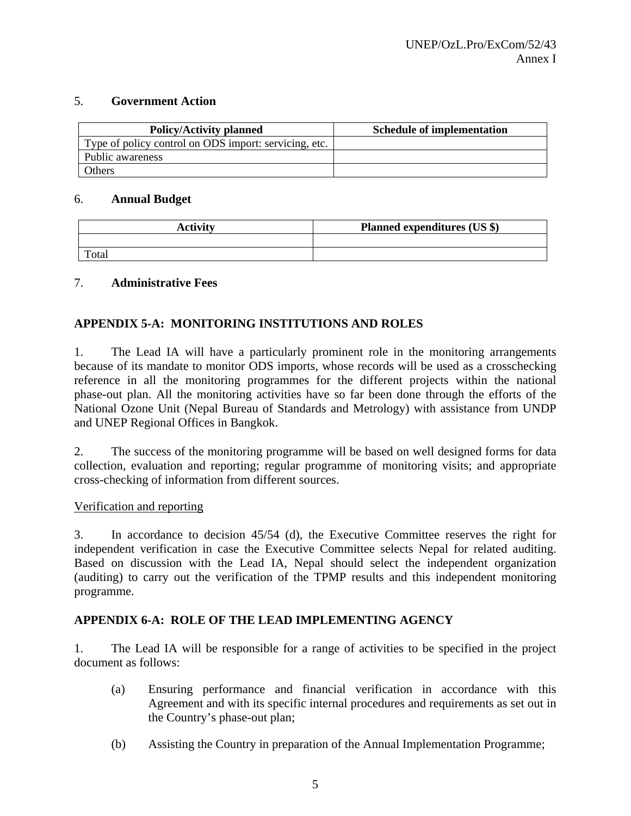## 5. **Government Action**

| <b>Policy/Activity planned</b>                        | <b>Schedule of implementation</b> |
|-------------------------------------------------------|-----------------------------------|
| Type of policy control on ODS import: servicing, etc. |                                   |
| Public awareness                                      |                                   |
| Others                                                |                                   |

### 6. **Annual Budget**

| Activity | <b>Planned expenditures (US \$)</b> |
|----------|-------------------------------------|
|          |                                     |
| Total    |                                     |

# 7. **Administrative Fees**

# **APPENDIX 5-A: MONITORING INSTITUTIONS AND ROLES**

1. The Lead IA will have a particularly prominent role in the monitoring arrangements because of its mandate to monitor ODS imports, whose records will be used as a crosschecking reference in all the monitoring programmes for the different projects within the national phase-out plan. All the monitoring activities have so far been done through the efforts of the National Ozone Unit (Nepal Bureau of Standards and Metrology) with assistance from UNDP and UNEP Regional Offices in Bangkok.

2. The success of the monitoring programme will be based on well designed forms for data collection, evaluation and reporting; regular programme of monitoring visits; and appropriate cross-checking of information from different sources.

#### Verification and reporting

3. In accordance to decision 45/54 (d), the Executive Committee reserves the right for independent verification in case the Executive Committee selects Nepal for related auditing. Based on discussion with the Lead IA, Nepal should select the independent organization (auditing) to carry out the verification of the TPMP results and this independent monitoring programme.

# **APPENDIX 6-A: ROLE OF THE LEAD IMPLEMENTING AGENCY**

1. The Lead IA will be responsible for a range of activities to be specified in the project document as follows:

- (a) Ensuring performance and financial verification in accordance with this Agreement and with its specific internal procedures and requirements as set out in the Country's phase-out plan;
- (b) Assisting the Country in preparation of the Annual Implementation Programme;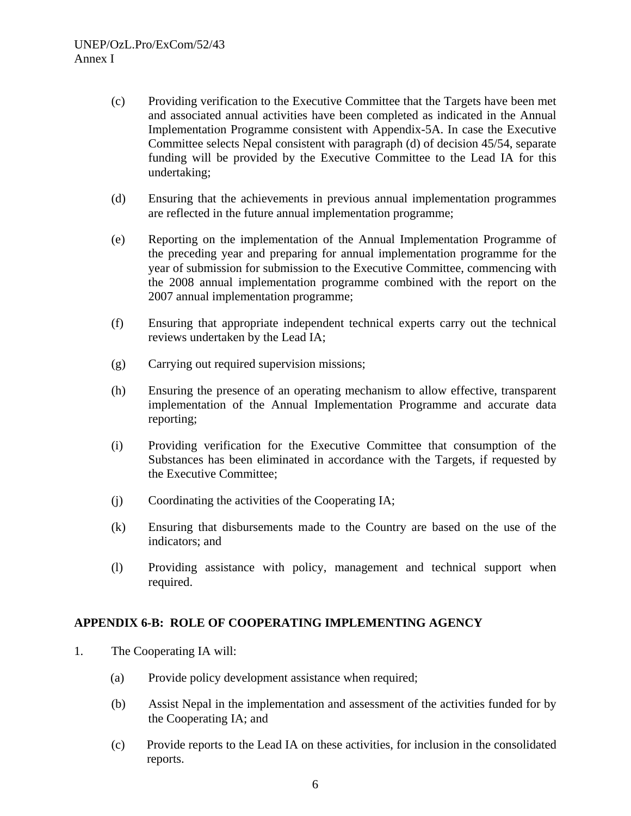- (c) Providing verification to the Executive Committee that the Targets have been met and associated annual activities have been completed as indicated in the Annual Implementation Programme consistent with Appendix-5A. In case the Executive Committee selects Nepal consistent with paragraph (d) of decision 45/54, separate funding will be provided by the Executive Committee to the Lead IA for this undertaking;
- (d) Ensuring that the achievements in previous annual implementation programmes are reflected in the future annual implementation programme;
- (e) Reporting on the implementation of the Annual Implementation Programme of the preceding year and preparing for annual implementation programme for the year of submission for submission to the Executive Committee, commencing with the 2008 annual implementation programme combined with the report on the 2007 annual implementation programme;
- (f) Ensuring that appropriate independent technical experts carry out the technical reviews undertaken by the Lead IA;
- (g) Carrying out required supervision missions;
- (h) Ensuring the presence of an operating mechanism to allow effective, transparent implementation of the Annual Implementation Programme and accurate data reporting;
- (i) Providing verification for the Executive Committee that consumption of the Substances has been eliminated in accordance with the Targets, if requested by the Executive Committee;
- (j) Coordinating the activities of the Cooperating IA;
- (k) Ensuring that disbursements made to the Country are based on the use of the indicators; and
- (l) Providing assistance with policy, management and technical support when required.

# **APPENDIX 6-B: ROLE OF COOPERATING IMPLEMENTING AGENCY**

- 1. The Cooperating IA will:
	- (a) Provide policy development assistance when required;
	- (b) Assist Nepal in the implementation and assessment of the activities funded for by the Cooperating IA; and
	- (c) Provide reports to the Lead IA on these activities, for inclusion in the consolidated reports.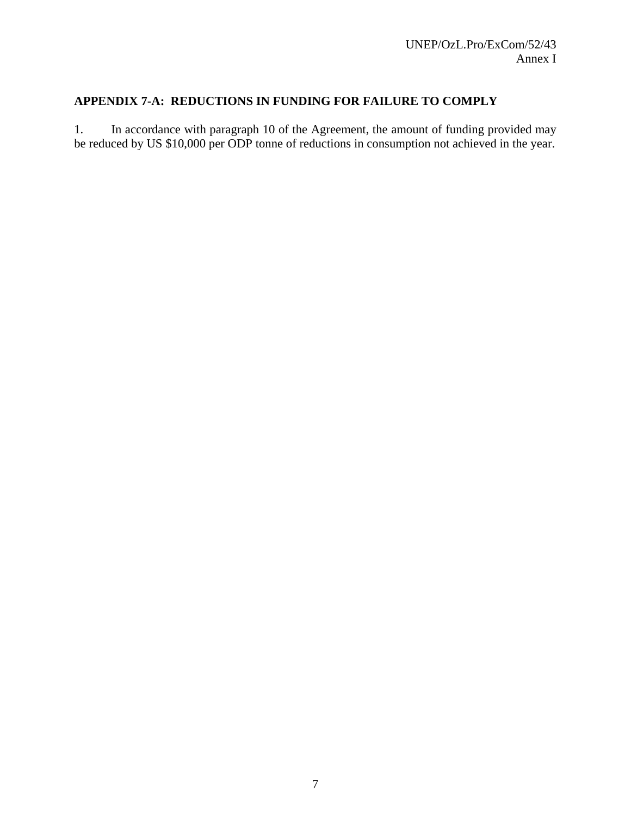# **APPENDIX 7-A: REDUCTIONS IN FUNDING FOR FAILURE TO COMPLY**

1. In accordance with paragraph 10 of the Agreement, the amount of funding provided may be reduced by US \$10,000 per ODP tonne of reductions in consumption not achieved in the year.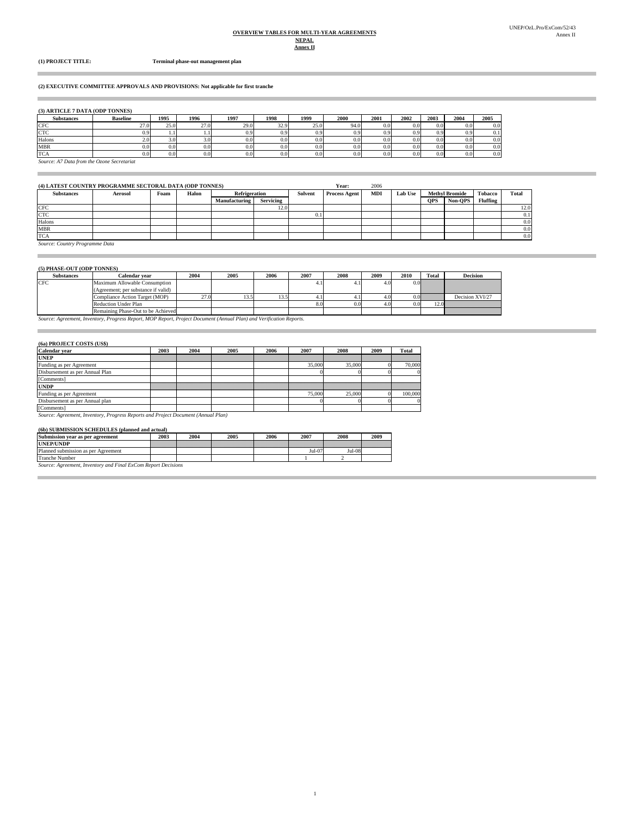# **OVERVIEW TABLES FOR MULTI-YEAR AGREEMENTS NEPAL**

Î.

i.

**(1) PROJECT TITLE: Terminal phase-out management plan**

#### **(2) EXECUTIVE COMMITTEE APPROVALS AND PROVISIONS: Not applicable for first tranche**

#### **(3) ARTICLE 7 DATA (ODP TONNES)**

| <b>Substances</b> | <b>Baseline</b>                            | 1995 | 1996 | 1997 | 1998 | 1999     | 2000             | 2001 | 2002 | 2003 | 2004 | 2005 |
|-------------------|--------------------------------------------|------|------|------|------|----------|------------------|------|------|------|------|------|
| <b>CFC</b>        | 27.0                                       | 25.0 | 27.0 | 29.0 | 32.9 | 25.0     | 94.0             | 0.0  | 0.0  |      | 0.0  | 0.0  |
| <b>CTC</b>        |                                            |      |      | 0.9  | 0.9  | 0.91     | 0.91             | 0.9  |      |      | 0.9  |      |
| Halons            | 2.0°                                       |      | 3.01 | 0.0  | 0.0  | $_{0.0}$ | 0.01             | 0.0  | 0.0  |      | 0.0  | 0.0  |
| <b>MBR</b>        |                                            |      | 0.0  | 0.0  | 0.0  | 0.0      | 0.0 <sub>1</sub> | 0.0  | 0.0  |      | 0.01 | 0.0  |
| <b>TCA</b>        |                                            |      | 0.0  | 0.0  | 0.0  | 0.0      | 0.0 <sub>l</sub> | U.U  |      |      | 0.01 | 0.0  |
|                   | Source: A7 Data from the Ozone Secretariat |      |      |      |      |          |                  |      |      |      |      |      |

| (4) LATEST COUNTRY PROGRAMME SECTORAL DATA (ODP TONNES) |                |      |       |                      |                  |         | Year:                | 2006 |                |            |                       |                 |              |
|---------------------------------------------------------|----------------|------|-------|----------------------|------------------|---------|----------------------|------|----------------|------------|-----------------------|-----------------|--------------|
| <b>Substances</b>                                       | <b>Aerosol</b> | Foam | Halon | <b>Refrigeration</b> |                  | Solvent | <b>Process Agent</b> | MDI  | <b>Lab Use</b> |            | <b>Methyl Bromide</b> | <b>Tobacco</b>  | <b>Total</b> |
|                                                         |                |      |       | <b>Manufacturing</b> | <b>Servicing</b> |         |                      |      |                | <b>OPS</b> | Non-OPS               | <b>Fluffing</b> |              |
| <b>CFC</b>                                              |                |      |       |                      | 12.0             |         |                      |      |                |            |                       |                 | 12.0         |
| <b>CTC</b>                                              |                |      |       |                      |                  | 0.1     |                      |      |                |            |                       |                 | 0.1          |
| Halons                                                  |                |      |       |                      |                  |         |                      |      |                |            |                       |                 | 0.0          |
| <b>MBR</b>                                              |                |      |       |                      |                  |         |                      |      |                |            |                       |                 | 0.0          |
| <b>TCA</b>                                              |                |      |       |                      |                  |         |                      |      |                |            |                       |                 | 0.0          |

1

*Source: Country Programme Data*

#### **(5) PHASE-OUT (ODP TONNES)**

| <b>Substances</b> | Calendar vear                       | 2004 | 2005 | 2006 | 2007 | 2008 | 2009 | 2010 | Total     | <b>Decision</b>                                                         |
|-------------------|-------------------------------------|------|------|------|------|------|------|------|-----------|-------------------------------------------------------------------------|
| <b>CFC</b>        | Maximum Allowable Consumption       |      |      |      |      |      | 4.0  |      |           | aaaaaaaa waanaanaanaanaanaanaa<br>aanaanaa kanaanaanaanaanaanaanaa      |
|                   | (Agreement; per substance if valid) |      |      |      |      |      |      |      |           | nnan man san an an an an an an an an an an<br>namanan mamananan mamanan |
|                   | Compliance Action Target (MOP)      | . .  |      |      |      |      |      |      | 012222222 | Decision XVI/27                                                         |
|                   | <b>Reduction Under Plan</b>         |      |      |      |      | 0.0  | 4.U  |      |           | an an an an an an an an                                                 |
|                   | Remaining Phase-Out to be Achieved  |      |      |      |      |      |      |      |           | ,,,,,,,,,,,,,,,,,,,,,,,,,,,,,                                           |

*Source: Agreement, Inventory, Progress Report, MOP Report, Project Document (Annual Plan) and Verification Reports.* Remaining Phase-Out to be Achieved

#### **(6a) PROJECT COSTS (US\$)**

m.

**Contract Contract Contract** 

| Calendar year                                                                     | 2003 | 2004 | 2005 | 2006 | 2007   | 2008   | 2009 | <b>Total</b> |  |  |
|-----------------------------------------------------------------------------------|------|------|------|------|--------|--------|------|--------------|--|--|
| <b>UNEP</b>                                                                       |      |      |      |      |        |        |      |              |  |  |
| Funding as per Agreement                                                          |      |      |      |      | 35,000 | 35,000 |      | 70,000       |  |  |
| Disbursement as per Annual Plan                                                   |      |      |      |      |        |        |      |              |  |  |
| [Comments]                                                                        |      |      |      |      |        |        |      |              |  |  |
| <b>UNDP</b>                                                                       |      |      |      |      |        |        |      |              |  |  |
| Funding as per Agreement                                                          |      |      |      |      | 75,000 | 25,000 |      | 100,000      |  |  |
| Disbursement as per Annual plan                                                   |      |      |      |      |        |        |      |              |  |  |
| [Comments]                                                                        |      |      |      |      |        |        |      |              |  |  |
| Source: Agreement, Inventory, Progress Reports and Project Document (Annual Plan) |      |      |      |      |        |        |      |              |  |  |

#### **(6b) SUBMISSION SCHEDULES (planned and actual)**

| <b>Submission</b><br>' agreement<br>vear as per | 2003 | 2004 | 2005 | 2006 | 2007              | 2008     | 2009 |
|-------------------------------------------------|------|------|------|------|-------------------|----------|------|
| <b>UNEP/UNDP</b>                                |      |      |      |      |                   |          |      |
| Planned submission as per<br>Agreement          |      |      |      |      | $\alpha$<br>Jul-0 | $Jul-08$ |      |
| Tranche.<br>Number                              |      |      |      |      |                   |          |      |

*Source: Agreement, Inventory and Final ExCom Report Decisions*